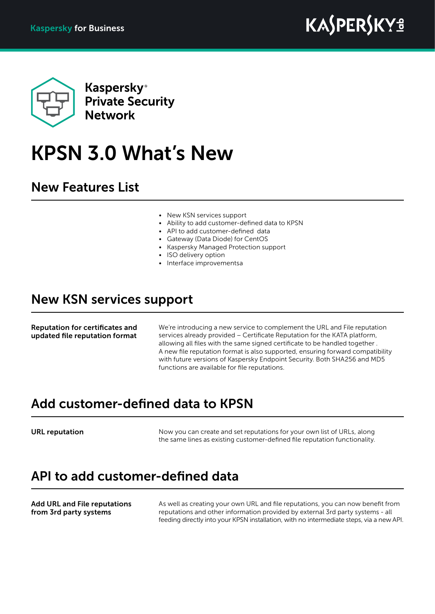

**Kaspersky**<sup>®</sup> **Private Security Network** 

# KPSN 3.0 What's New

### New Features List

- New KSN services support
- Ability to add customer-defined data to KPSN
- API to add customer-defined data
- Gateway (Data Diode) for CentOS
- Kaspersky Managed Protection support
- ISO delivery option
- Interface improvementsa

### New KSN services support

Reputation for certificates and updated file reputation format

We're introducing a new service to complement the URL and File reputation services already provided – Certificate Reputation for the KATA platform, allowing all files with the same signed certificate to be handled together . A new file reputation format is also supported, ensuring forward compatibility with future versions of Kaspersky Endpoint Security. Both SHA256 and MD5 functions are available for file reputations.

## Add customer-defined data to KPSN

URL reputation Now you can create and set reputations for your own list of URLs, along the same lines as existing customer-defined file reputation functionality.

## API to add customer-defined data

Add URL and File reputations from 3rd party systems

As well as creating your own URL and file reputations, you can now benefit from reputations and other information provided by external 3rd party systems - all feeding directly into your KPSN installation, with no intermediate steps, via a new API.